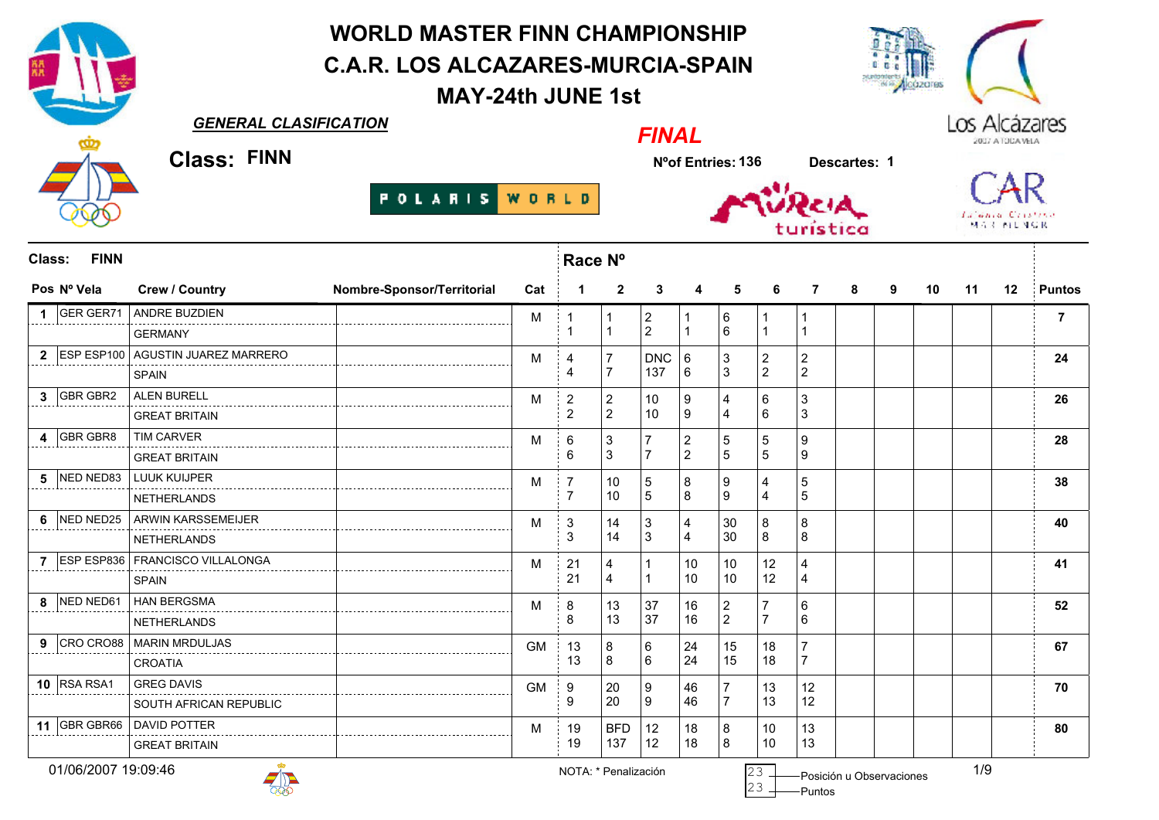WORLD MASTER FINN CHAMPIONSHIP C.A.R. LOS ALCAZARES-MURCIA-SPAIN**NICOZOFES** MAY-24th JUNE 1stGENERAL CLASIFICATIONLos Alcázares FINALClass: FINN Nºof Entries:136 Descartes: <sup>1</sup>**POLARIS** WORLD School Constant **MAR ALL MCR** Race NºClass: FINN Pos Nº Vela Crew / Country Nombre-Sponsor/Territorial Cat <sup>1</sup> <sup>2</sup> <sup>3</sup> <sup>4</sup> <sup>5</sup> <sup>6</sup> <sup>7</sup> <sup>8</sup> <sup>9</sup> <sup>10</sup> <sup>11</sup> <sup>12</sup> Puntos GER GER71 ANDRE BUZDIEN <sup>1</sup><sup>7</sup>M GERMANY $\mathsf{Y}$  and  $\mathsf{Y}$  are the set of  $\mathsf{Y}$  and  $\mathsf{Y}$  are the set of  $\mathsf{Y}$  ESP ESP100 AGUSTIN JUAREZ MARREROMDNC <sup>4</sup><sup>24</sup> **SPAIN** N  $\vert$  4 GBR GBR2 ALEN BURELL <sup>2</sup><sup>26</sup>M GREAT BRITAINN  $\vert$  2 GBR GBR8 TIM CARVER <sup>6</sup><sup>28</sup>M GREAT BRITAINN 6 NED NED83 LUUK KUIJPER <sup>7</sup><sup>38</sup>M NETHERLANDSs and  $\sqrt{7}$  NED NED25 ARWIN KARSSEMEIJER <sup>3</sup><sup>40</sup>M NETHERLANDS $\sim$  3 ESP ESP836 FRANCISCO VILLALONGA <sup>21</sup><sup>41</sup>M N  $\vert$  21 SPAIN NED NED61 HAN BERGSMA <sup>8</sup><sup>52</sup>M <sup>8</sup> NETHERLANDS9 CRO CRO88 CRO CRO88 MARIN MRDULJAS <sup>13</sup><sup>67</sup>GM A 3 CROATIA10 RSA RSA1 RSA RSA1 GREG DAVIS <sup>9</sup><sup>70</sup>GM SOUTH AFRICAN REPUBLICc 3 11 GBR GBR66 GBR GBR66 DAVID POTTER <sup>19</sup><sup>80</sup>M**BFD**  N 19 GREAT BRITAIN

01/06/2007 19:09:46



Puntos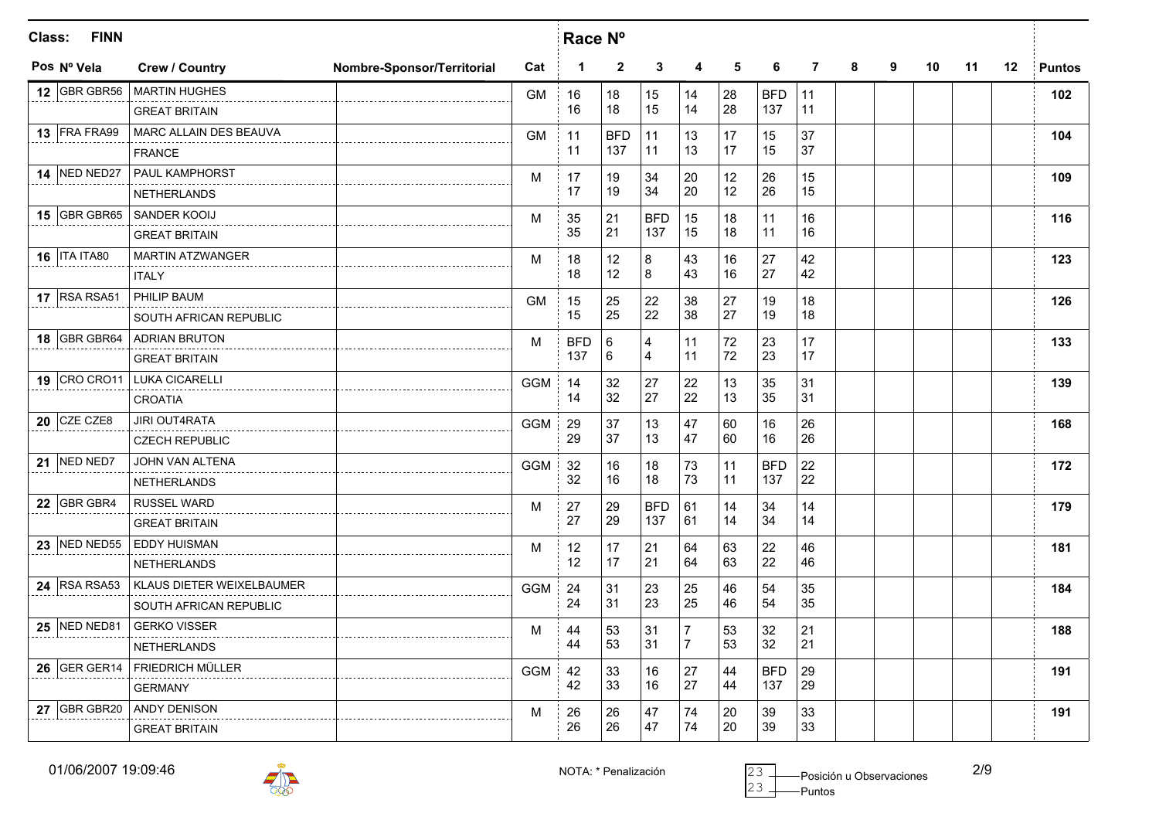| Class: | <b>FINN</b>           |                             |                            |            | Race Nº     |              |                         |                |        |            |    |   |   |    |    |    |               |
|--------|-----------------------|-----------------------------|----------------------------|------------|-------------|--------------|-------------------------|----------------|--------|------------|----|---|---|----|----|----|---------------|
|        | Pos Nº Vela           | <b>Crew / Country</b>       | Nombre-Sponsor/Territorial | Cat        | $\mathbf 1$ | $\mathbf{2}$ | 3                       | 4              | 5      | 6          | 7  | 8 | 9 | 10 | 11 | 12 | <b>Puntos</b> |
|        | <b>12 GBR GBR56</b>   | <b>MARTIN HUGHES</b>        |                            | <b>GM</b>  | 16          | 18           | 15                      | 14             | 28     | <b>BFD</b> | 11 |   |   |    |    |    | 102           |
|        |                       | <b>GREAT BRITAIN</b>        |                            |            | 16          | 18           | 15                      | 14             | 28     | 137        | 11 |   |   |    |    |    |               |
|        | 13 FRA FRA99          | MARC ALLAIN DES BEAUVA      |                            | <b>GM</b>  | 11          | <b>BFD</b>   | 11                      | 13             | 17     | 15         | 37 |   |   |    |    |    | 104           |
|        |                       | <b>FRANCE</b>               |                            |            | 11          | 137          | 11                      | 13             | 17     | 15         | 37 |   |   |    |    |    |               |
|        | <b>14 NED NED27</b>   | <b>PAUL KAMPHORST</b>       |                            | м          | 17          | 19           | 34                      | 20             | 12     | 26         | 15 |   |   |    |    |    | 109           |
|        |                       | <b>NETHERLANDS</b>          |                            |            | 17          | 19           | 34                      | 20             | 12     | 26         | 15 |   |   |    |    |    |               |
|        | 15 GBR GBR65          | SANDER KOOIJ                |                            | M          | 35          | 21           | <b>BFD</b>              | 15             | 18     | 11         | 16 |   |   |    |    |    | 116           |
|        |                       | <b>GREAT BRITAIN</b>        |                            |            | 35          | 21           | 137                     | 15             | 18     | 11         | 16 |   |   |    |    |    |               |
|        | <b>16   ITA ITA80</b> | MARTIN ATZWANGER            |                            | M          | 18          | 12           | 8                       | 43             | 16     | 27         | 42 |   |   |    |    |    | 123           |
|        |                       | <b>ITALY</b>                |                            |            | 18          | 12           | 8                       | 43             | 16     | 27         | 42 |   |   |    |    |    |               |
|        | 17 RSA RSA51          | PHILIP BAUM                 |                            | <b>GM</b>  | 15          | 25           | 22                      | 38             | 27     | 19         | 18 |   |   |    |    |    | 126           |
|        |                       | SOUTH AFRICAN REPUBLIC      |                            |            | 15          | 25           | 22                      | 38             | 27     | 19         | 18 |   |   |    |    |    |               |
|        |                       | 18 GBR GBR64 ADRIAN BRUTON  |                            | м          | <b>BFD</b>  | 6            | $\overline{\mathbf{4}}$ | 11             | $72\,$ | 23         | 17 |   |   |    |    |    | 133           |
|        |                       | <b>GREAT BRITAIN</b>        |                            |            | 137         | 6            | $\overline{4}$          | 11             | 72     | 23         | 17 |   |   |    |    |    |               |
|        |                       | 19 CRO CRO11 LUKA CICARELLI |                            | <b>GGM</b> | 14          | 32           | 27                      | 22             | 13     | 35         | 31 |   |   |    |    |    | 139           |
|        |                       | <b>CROATIA</b>              |                            |            | 14          | 32           | 27                      | 22             | 13     | 35         | 31 |   |   |    |    |    |               |
|        | $20$ CZE CZE8         | <b>JIRI OUT4RATA</b>        |                            | <b>GGM</b> | 29          | 37           | 13                      | 47             | 60     | 16         | 26 |   |   |    |    |    | 168           |
|        |                       | <b>CZECH REPUBLIC</b>       |                            |            | 29          | 37           | 13                      | 47             | 60     | 16         | 26 |   |   |    |    |    |               |
|        | 21 NED NED7           | JOHN VAN ALTENA             |                            | <b>GGM</b> | 32          | 16           | 18                      | 73             | 11     | <b>BFD</b> | 22 |   |   |    |    |    | 172           |
|        |                       | <b>NETHERLANDS</b>          |                            |            | 32          | 16           | 18                      | 73             | 11     | 137        | 22 |   |   |    |    |    |               |
|        | 22 GBR GBR4           | <b>RUSSEL WARD</b>          |                            | M          | 27          | 29           | <b>BFD</b>              | 61             | 14     | 34         | 14 |   |   |    |    |    | 179           |
|        |                       | <b>GREAT BRITAIN</b>        |                            |            | 27          | 29           | 137                     | 61             | 14     | 34         | 14 |   |   |    |    |    |               |
|        | 23 NED NED55          | <b>EDDY HUISMAN</b>         |                            | м          | 12          | 17           | 21                      | 64             | 63     | 22         | 46 |   |   |    |    |    | 181           |
|        |                       | <b>NETHERLANDS</b>          |                            |            | 12          | 17           | 21                      | 64             | 63     | 22         | 46 |   |   |    |    |    |               |
|        | 24 RSA RSA53          | KLAUS DIETER WEIXELBAUMER   |                            | <b>GGM</b> | 24          | 31           | 23                      | 25             | 46     | 54         | 35 |   |   |    |    |    | 184           |
|        |                       | SOUTH AFRICAN REPUBLIC      |                            |            | 24          | 31           | 23                      | 25             | 46     | 54         | 35 |   |   |    |    |    |               |
|        | <b>25 NED NED81</b>   | <b>GERKO VISSER</b>         |                            | м          | 44          | 53           | 31                      | $\overline{7}$ | 53     | 32         | 21 |   |   |    |    |    | 188           |
|        |                       | <b>NETHERLANDS</b>          |                            |            | 44          | 53           | 31                      | $\overline{7}$ | 53     | 32         | 21 |   |   |    |    |    |               |
|        | 26 GER GER14          | <b>FRIEDRICH MÜLLER</b>     |                            | <b>GGM</b> | 42          | 33           | 16                      | 27             | 44     | <b>BFD</b> | 29 |   |   |    |    |    | 191           |
|        |                       | <b>GERMANY</b>              |                            |            | 42          | 33           | 16                      | 27             | 44     | 137        | 29 |   |   |    |    |    |               |
|        | 27 GBR GBR20          | ANDY DENISON                |                            | M          | 26          | 26           | 47                      | 74             | 20     | 39         | 33 |   |   |    |    |    | 191           |
|        |                       | <b>GREAT BRITAIN</b>        |                            |            | 26          | 26           | 47                      | 74             | 20     | 39         | 33 |   |   |    |    |    |               |



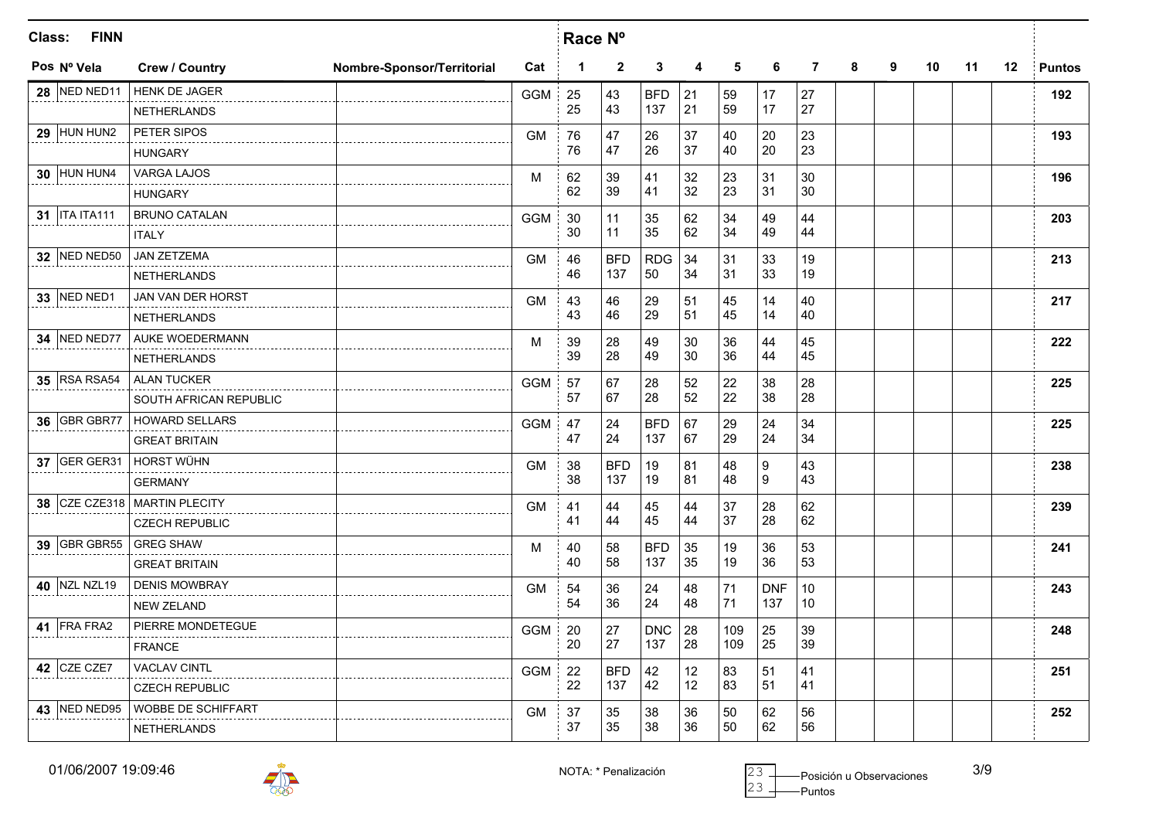| Class:<br><b>FINN</b> |                              |                            | Race N°    |             |                |            |    |     |            |                |   |   |    |    |         |               |
|-----------------------|------------------------------|----------------------------|------------|-------------|----------------|------------|----|-----|------------|----------------|---|---|----|----|---------|---------------|
| Pos Nº Vela           | <b>Crew / Country</b>        | Nombre-Sponsor/Territorial | Cat        | $\mathbf 1$ | $\overline{2}$ | 3          | 4  | 5   | 6          | $\overline{7}$ | 8 | 9 | 10 | 11 | $12 \,$ | <b>Puntos</b> |
| <b>28 NED NED11</b>   | HENK DE JAGER                |                            | <b>GGM</b> | 25          | 43             | <b>BFD</b> | 21 | 59  | 17         | 27             |   |   |    |    |         | 192           |
|                       | <b>NETHERLANDS</b>           |                            |            | 25          | 43             | 137        | 21 | 59  | 17         | 27             |   |   |    |    |         |               |
| $29$ HUN HUN2         | PETER SIPOS                  |                            | <b>GM</b>  | 76          | 47             | 26         | 37 | 40  | 20         | 23             |   |   |    |    |         | 193           |
|                       | <b>HUNGARY</b>               |                            |            | 76          | 47             | 26         | 37 | 40  | 20         | 23             |   |   |    |    |         |               |
| <b>30 HUN HUN4</b>    | <b>VARGA LAJOS</b>           |                            | M          | 62          | 39             | 41         | 32 | 23  | 31         | 30             |   |   |    |    |         | 196           |
|                       | <b>HUNGARY</b>               |                            |            | 62          | 39             | 41         | 32 | 23  | 31         | 30             |   |   |    |    |         |               |
| 31   ITA ITA111       | <b>BRUNO CATALAN</b>         |                            | <b>GGM</b> | 30          | 11             | 35         | 62 | 34  | 49         | 44             |   |   |    |    |         | 203           |
|                       | <b>ITALY</b>                 |                            |            | 30          | 11             | 35         | 62 | 34  | 49         | 44             |   |   |    |    |         |               |
| 32 NED NED50          | <b>JAN ZETZEMA</b>           |                            | <b>GM</b>  | 46          | <b>BFD</b>     | <b>RDG</b> | 34 | 31  | 33         | 19             |   |   |    |    |         | 213           |
|                       | <b>NETHERLANDS</b>           |                            |            | 46          | 137            | 50         | 34 | 31  | 33         | 19             |   |   |    |    |         |               |
| 33 NED NED1           | JAN VAN DER HORST            |                            | <b>GM</b>  | 43          | 46             | 29         | 51 | 45  | 14         | 40             |   |   |    |    |         | 217           |
|                       | <b>NETHERLANDS</b>           |                            |            | 43          | 46             | 29         | 51 | 45  | 14         | 40             |   |   |    |    |         |               |
| <b>34 NED NED77</b>   | AUKE WOEDERMANN              |                            | M          | 39          | 28             | 49         | 30 | 36  | 44         | 45             |   |   |    |    |         | 222           |
|                       | <b>NETHERLANDS</b>           |                            |            | 39          | 28             | 49         | 30 | 36  | 44         | 45             |   |   |    |    |         |               |
| <b>35 RSA RSA54</b>   | <b>ALAN TUCKER</b>           |                            | <b>GGM</b> | 57          | 67             | 28         | 52 | 22  | 38         | 28             |   |   |    |    |         | 225           |
|                       | SOUTH AFRICAN REPUBLIC       |                            |            | 57          | 67             | 28         | 52 | 22  | 38         | 28             |   |   |    |    |         |               |
| 36 GBR GBR77          | <b>HOWARD SELLARS</b>        |                            | <b>GGM</b> | 47          | 24             | <b>BFD</b> | 67 | 29  | 24         | 34             |   |   |    |    |         | 225           |
|                       | <b>GREAT BRITAIN</b>         |                            |            | 47          | 24             | 137        | 67 | 29  | 24         | 34             |   |   |    |    |         |               |
| <b>37 GER GER31</b>   | <b>HORST WÜHN</b>            |                            | <b>GM</b>  | 38          | <b>BFD</b>     | 19         | 81 | 48  | 9          | 43             |   |   |    |    |         | 238           |
|                       | <b>GERMANY</b>               |                            |            | 38          | 137            | 19         | 81 | 48  | 9          | 43             |   |   |    |    |         |               |
|                       | 38 CZE CZE318 MARTIN PLECITY |                            | <b>GM</b>  | 41          | 44             | 45         | 44 | 37  | 28         | 62             |   |   |    |    |         | 239           |
|                       | <b>CZECH REPUBLIC</b>        |                            |            | 41          | 44             | 45         | 44 | 37  | 28         | 62             |   |   |    |    |         |               |
| 39 GBR GBR55          | <b>GREG SHAW</b>             |                            | M          | 40          | 58             | <b>BFD</b> | 35 | 19  | 36         | 53             |   |   |    |    |         | 241           |
|                       | <b>GREAT BRITAIN</b>         |                            |            | 40          | 58             | 137        | 35 | 19  | 36         | 53             |   |   |    |    |         |               |
| 40 NZL NZL19          | <b>DENIS MOWBRAY</b>         |                            | GM         | 54          | 36             | 24         | 48 | 71  | <b>DNF</b> | 10             |   |   |    |    |         | 243           |
|                       | <b>NEW ZELAND</b>            |                            |            | 54          | 36             | 24         | 48 | 71  | 137        | 10             |   |   |    |    |         |               |
| 41 FRA FRA2           | PIERRE MONDETEGUE            |                            | <b>GGM</b> | 20          | 27             | <b>DNC</b> | 28 | 109 | 25         | 39             |   |   |    |    |         | 248           |
|                       | <b>FRANCE</b>                |                            |            | 20          | 27             | 137        | 28 | 109 | 25         | 39             |   |   |    |    |         |               |
| 42 CZE CZE7           | <b>VACLAV CINTL</b>          |                            | <b>GGM</b> | 22          | <b>BFD</b>     | 42         | 12 | 83  | 51         | 41             |   |   |    |    |         | 251           |
|                       | <b>CZECH REPUBLIC</b>        |                            |            | 22          | 137            | 42         | 12 | 83  | 51         | 41             |   |   |    |    |         |               |
| 43 NED NED95          | WOBBE DE SCHIFFART           |                            | <b>GM</b>  | 37          | 35             | 38         | 36 | 50  | 62         | 56             |   |   |    |    |         | 252           |
|                       | <b>NETHERLANDS</b>           |                            |            | 37          | 35             | 38         | 36 | 50  | 62         | 56             |   |   |    |    |         |               |

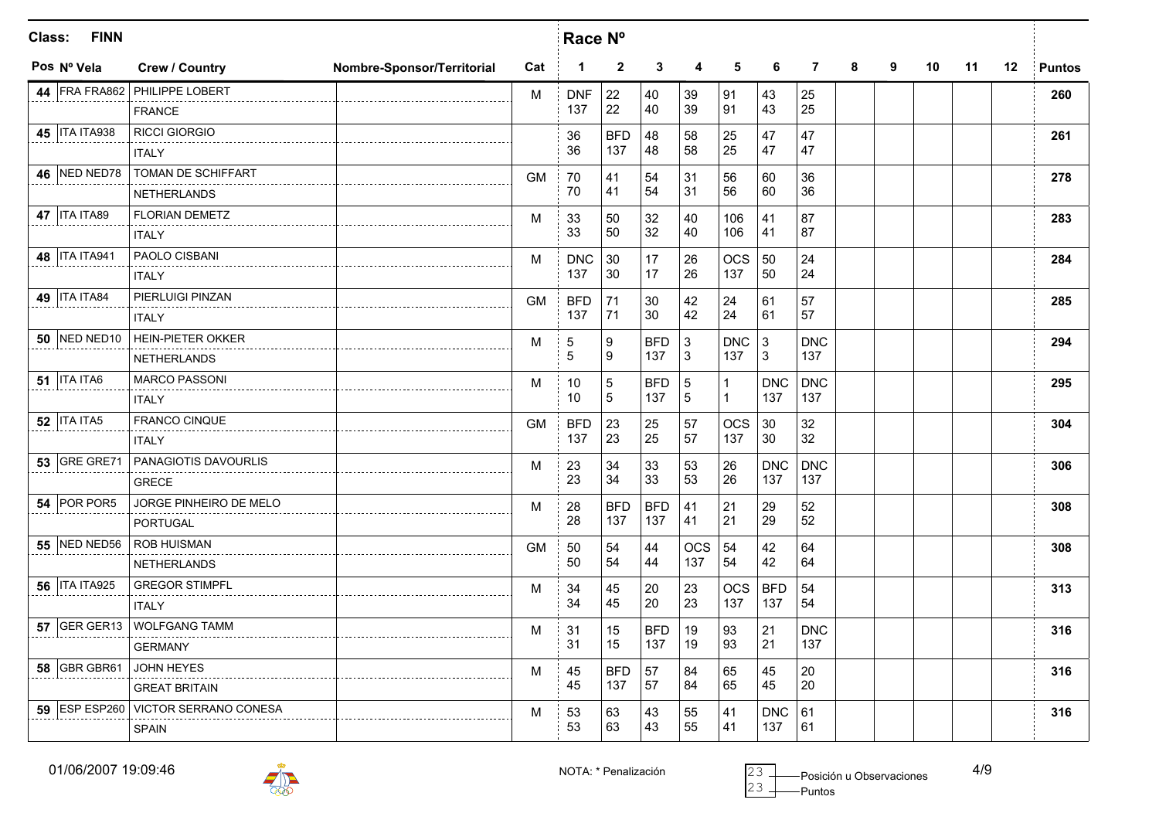| Class: | <b>FINN</b>           |                                     |                            | Race Nº   |              |                 |            |             |              |              |                |   |   |    |    |         |               |
|--------|-----------------------|-------------------------------------|----------------------------|-----------|--------------|-----------------|------------|-------------|--------------|--------------|----------------|---|---|----|----|---------|---------------|
|        | Pos Nº Vela           | <b>Crew / Country</b>               | Nombre-Sponsor/Territorial | Cat       | $\mathbf{1}$ | $\mathbf{2}$    | 3          | 4           | 5            | 6            | $\overline{7}$ | 8 | 9 | 10 | 11 | $12 \,$ | <b>Puntos</b> |
|        |                       | 44 FRA FRA862 PHILIPPE LOBERT       |                            | M         | <b>DNF</b>   | 22              | 40         | 39          | 91           | 43           | 25             |   |   |    |    |         | 260           |
|        |                       | <b>FRANCE</b>                       |                            |           | 137          | 22              | 40         | 39          | 91           | 43           | 25             |   |   |    |    |         |               |
|        | 45   ITA ITA938       | <b>RICCI GIORGIO</b>                |                            |           | 36           | <b>BFD</b>      | 48         | 58          | 25           | 47           | 47             |   |   |    |    |         | 261           |
|        |                       | <b>ITALY</b>                        |                            |           | 36           | 137             | 48         | 58          | 25           | 47           | 47             |   |   |    |    |         |               |
|        | 46 NED NED78          | TOMAN DE SCHIFFART                  |                            | <b>GM</b> | 70           | 41              | 54         | 31          | 56           | 60           | 36             |   |   |    |    |         | 278           |
|        |                       | <b>NETHERLANDS</b>                  |                            |           | 70           | 41              | 54         | 31          | 56           | 60           | 36             |   |   |    |    |         |               |
|        | <b>47   ITA ITA89</b> | <b>FLORIAN DEMETZ</b>               |                            | M         | 33           | 50              | 32         | 40          | 106          | 41           | 87             |   |   |    |    |         | 283           |
|        |                       | <b>ITALY</b>                        |                            |           | 33           | 50              | 32         | 40          | 106          | 41           | 87             |   |   |    |    |         |               |
|        | 48   ITA ITA941       | PAOLO CISBANI                       |                            | M         | <b>DNC</b>   | 30              | 17         | 26          | <b>OCS</b>   | 50           | 24             |   |   |    |    |         | 284           |
|        |                       | <b>ITALY</b>                        |                            |           | 137          | 30              | 17         | 26          | 137          | 50           | 24             |   |   |    |    |         |               |
|        | <b>49   ITA ITA84</b> | PIERLUIGI PINZAN                    |                            | <b>GM</b> | <b>BFD</b>   | 71              | 30         | 42          | 24           | 61           | 57             |   |   |    |    |         | 285           |
|        |                       | <b>ITALY</b>                        |                            |           | 137          | 71              | 30         | 42          | 24           | 61           | 57             |   |   |    |    |         |               |
|        |                       | 50 NED NED10 HEIN-PIETER OKKER      |                            | M         | $\,$ 5 $\,$  | 9               | <b>BFD</b> | $\mathsf 3$ | <b>DNC</b>   | $\mathbf{3}$ | <b>DNC</b>     |   |   |    |    |         | 294           |
|        |                       | <b>NETHERLANDS</b>                  |                            |           | 5            | 9               | 137        | 3           | 137          | 3            | 137            |   |   |    |    |         |               |
|        | <b>51   ITA ITA6</b>  | <b>MARCO PASSONI</b>                |                            | M         | 10           | $5\phantom{.0}$ | <b>BFD</b> | $\sqrt{5}$  | $\mathbf{1}$ | <b>DNC</b>   | <b>DNC</b>     |   |   |    |    |         | 295           |
|        |                       | <b>ITALY</b>                        |                            |           | 10           | 5               | 137        | 5           | $\mathbf 1$  | 137          | 137            |   |   |    |    |         |               |
|        | <b>52   ITA ITA5</b>  | FRANCO CINQUE                       |                            | <b>GM</b> | <b>BFD</b>   | 23              | 25         | 57          | <b>OCS</b>   | 30           | 32             |   |   |    |    |         | 304           |
|        |                       | <b>ITALY</b>                        |                            |           | 137          | 23              | 25         | 57          | 137          | 30           | 32             |   |   |    |    |         |               |
|        | 53 GRE GRE71          | PANAGIOTIS DAVOURLIS                |                            | M         | 23           | 34              | 33         | 53          | 26           | <b>DNC</b>   | <b>DNC</b>     |   |   |    |    |         | 306           |
|        |                       | <b>GRECE</b>                        |                            |           | 23           | 34              | 33         | 53          | 26           | 137          | 137            |   |   |    |    |         |               |
|        | 54 POR POR5           | JORGE PINHEIRO DE MELO              |                            | м         | 28           | <b>BFD</b>      | <b>BFD</b> | 41          | 21           | 29           | 52             |   |   |    |    |         | 308           |
|        |                       | <b>PORTUGAL</b>                     |                            |           | 28           | 137             | 137        | 41          | 21           | 29           | 52             |   |   |    |    |         |               |
|        | 55 NED NED56          | <b>ROB HUISMAN</b>                  |                            | <b>GM</b> | 50           | 54              | 44         | <b>OCS</b>  | 54           | 42           | 64             |   |   |    |    |         | 308           |
|        |                       | <b>NETHERLANDS</b>                  |                            |           | 50           | 54              | 44         | 137         | 54           | 42           | 64             |   |   |    |    |         |               |
|        | 56   ITA ITA925       | <b>GREGOR STIMPFL</b>               |                            | M         | 34           | 45              | 20         | 23          | <b>OCS</b>   | <b>BFD</b>   | 54             |   |   |    |    |         | 313           |
|        |                       | <b>ITALY</b>                        |                            |           | 34           | 45              | 20         | 23          | 137          | 137          | 54             |   |   |    |    |         |               |
|        |                       | 57 GER GER13 WOLFGANG TAMM          |                            | м         | 31           | 15              | <b>BFD</b> | 19          | 93           | 21           | <b>DNC</b>     |   |   |    |    |         | 316           |
|        |                       | <b>GERMANY</b>                      |                            |           | 31           | 15              | 137        | 19          | 93           | 21           | 137            |   |   |    |    |         |               |
|        | 58 GBR GBR61          | <b>JOHN HEYES</b>                   |                            | M         | 45           | <b>BFD</b>      | 57         | 84          | 65           | 45           | 20             |   |   |    |    |         | 316           |
|        |                       | <b>GREAT BRITAIN</b>                |                            |           | 45           | 137             | 57         | 84          | 65           | 45           | 20             |   |   |    |    |         |               |
|        |                       | 59 ESP ESP260 VICTOR SERRANO CONESA |                            | M         | 53           | 63              | 43         | 55          | 41           | <b>DNC</b>   | 61             |   |   |    |    |         | 316           |
|        |                       | <b>SPAIN</b>                        |                            |           | 53           | 63              | 43         | 55          | 41           | 137          | 61             |   |   |    |    |         |               |

01/06/2007 19:09:46



Puntos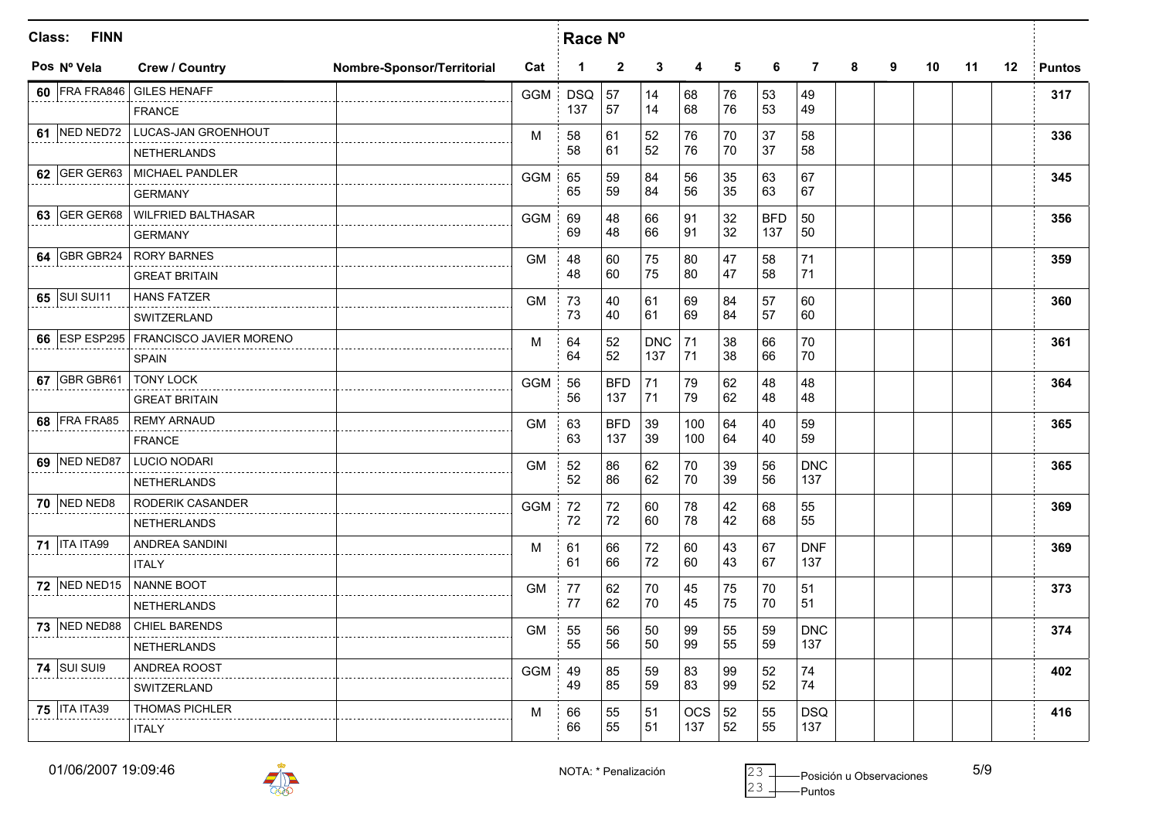| Class:<br><b>FINN</b> |                                       |                            | Race N°    |            |              |            |     |    |            |                |   |   |    |    |         |               |
|-----------------------|---------------------------------------|----------------------------|------------|------------|--------------|------------|-----|----|------------|----------------|---|---|----|----|---------|---------------|
| Pos Nº Vela           | <b>Crew / Country</b>                 | Nombre-Sponsor/Territorial | Cat        | 1          | $\mathbf{2}$ | 3          | 4   | 5  | 6          | $\overline{7}$ | 8 | 9 | 10 | 11 | $12 \,$ | <b>Puntos</b> |
| 60 FRA FRA846         | <b>GILES HENAFF</b>                   |                            | <b>GGM</b> | <b>DSQ</b> | 57           | 14         | 68  | 76 | 53         | 49             |   |   |    |    |         | 317           |
|                       | <b>FRANCE</b>                         |                            |            | 137        | 57           | 14         | 68  | 76 | 53         | 49             |   |   |    |    |         |               |
| <b>61 NED NED72</b>   | LUCAS-JAN GROENHOUT                   |                            | M          | 58         | 61           | 52         | 76  | 70 | 37         | 58             |   |   |    |    |         | 336           |
|                       | <b>NETHERLANDS</b>                    |                            |            | 58         | 61           | 52         | 76  | 70 | 37         | 58             |   |   |    |    |         |               |
| 62 GER GER63          | MICHAEL PANDLER                       |                            | <b>GGM</b> | 65         | 59           | 84         | 56  | 35 | 63         | 67             |   |   |    |    |         | 345           |
|                       | <b>GERMANY</b>                        |                            |            | 65         | 59           | 84         | 56  | 35 | 63         | 67             |   |   |    |    |         |               |
| 63 GER GER68          | <b>WILFRIED BALTHASAR</b>             |                            | <b>GGM</b> | 69         | 48           | 66         | 91  | 32 | <b>BFD</b> | 50             |   |   |    |    |         | 356           |
|                       | <b>GERMANY</b>                        |                            |            | 69         | 48           | 66         | 91  | 32 | 137        | 50             |   |   |    |    |         |               |
| 64 GBR GBR24          | <b>RORY BARNES</b>                    |                            | <b>GM</b>  | 48         | 60           | 75         | 80  | 47 | 58         | 71             |   |   |    |    |         | 359           |
|                       | <b>GREAT BRITAIN</b>                  |                            |            | 48         | 60           | 75         | 80  | 47 | 58         | 71             |   |   |    |    |         |               |
| 65 SUI SUI11          | <b>HANS FATZER</b>                    |                            | <b>GM</b>  | 73         | 40           | 61         | 69  | 84 | 57         | 60             |   |   |    |    |         | 360           |
|                       | SWITZERLAND                           |                            |            | 73         | 40           | 61         | 69  | 84 | 57         | 60             |   |   |    |    |         |               |
|                       | 66 ESP ESP295 FRANCISCO JAVIER MORENO |                            | M          | 64         | 52           | <b>DNC</b> | 71  | 38 | 66         | 70             |   |   |    |    |         | 361           |
|                       | <b>SPAIN</b>                          |                            |            | 64         | 52           | 137        | 71  | 38 | 66         | 70             |   |   |    |    |         |               |
| 67 GBR GBR61          | <b>TONY LOCK</b>                      |                            | <b>GGM</b> | 56         | <b>BFD</b>   | 71         | 79  | 62 | 48         | 48             |   |   |    |    |         | 364           |
|                       | <b>GREAT BRITAIN</b>                  |                            |            | 56         | 137          | 71         | 79  | 62 | 48         | 48             |   |   |    |    |         |               |
| 68 FRA FRA85          | <b>REMY ARNAUD</b>                    |                            | <b>GM</b>  | 63         | <b>BFD</b>   | 39         | 100 | 64 | 40         | 59             |   |   |    |    |         | 365           |
|                       | <b>FRANCE</b>                         |                            |            | 63         | 137          | 39         | 100 | 64 | 40         | 59             |   |   |    |    |         |               |
| <b>69 NED NED87</b>   | LUCIO NODARI                          |                            | <b>GM</b>  | 52         | 86           | 62         | 70  | 39 | 56         | <b>DNC</b>     |   |   |    |    |         | 365           |
|                       | <b>NETHERLANDS</b>                    |                            |            | 52         | 86           | 62         | 70  | 39 | 56         | 137            |   |   |    |    |         |               |
| <b>70 NED NED8</b>    | RODERIK CASANDER                      |                            | <b>GGM</b> | 72         | 72           | 60         | 78  | 42 | 68         | 55             |   |   |    |    |         | 369           |
|                       | <b>NETHERLANDS</b>                    |                            |            | 72         | 72           | 60         | 78  | 42 | 68         | 55             |   |   |    |    |         |               |
| <b>71   ITA ITA99</b> | ANDREA SANDINI                        |                            | M          | 61         | 66           | 72         | 60  | 43 | 67         | <b>DNF</b>     |   |   |    |    |         | 369           |
|                       | <b>ITALY</b>                          |                            |            | 61         | 66           | 72         | 60  | 43 | 67         | 137            |   |   |    |    |         |               |
| <b>72 NED NED15</b>   | NANNE BOOT                            |                            | GM         | 77         | 62           | 70         | 45  | 75 | 70         | 51             |   |   |    |    |         | 373           |
|                       | <b>NETHERLANDS</b>                    |                            |            | 77         | 62           | 70         | 45  | 75 | 70         | 51             |   |   |    |    |         |               |
| <b>73 NED NED88</b>   | <b>CHIEL BARENDS</b>                  |                            | <b>GM</b>  | 55         | 56           | 50         | 99  | 55 | 59         | <b>DNC</b>     |   |   |    |    |         | 374           |
|                       | <b>NETHERLANDS</b>                    |                            |            | 55         | 56           | 50         | 99  | 55 | 59         | 137            |   |   |    |    |         |               |
| <b>74 SUI SUI9</b>    | ANDREA ROOST                          |                            | <b>GGM</b> | 49         | 85           | 59         | 83  | 99 | 52         | 74             |   |   |    |    |         | 402           |
|                       | SWITZERLAND                           |                            |            | 49         | 85           | 59         | 83  | 99 | 52         | 74             |   |   |    |    |         |               |
| <b>75   ITA ITA39</b> | <b>THOMAS PICHLER</b>                 |                            | M          | 66         | 55           | 51         | OCS | 52 | 55         | <b>DSQ</b>     |   |   |    |    |         | 416           |
|                       | <b>ITALY</b>                          |                            |            | 66         | 55           | 51         | 137 | 52 | 55         | 137            |   |   |    |    |         |               |

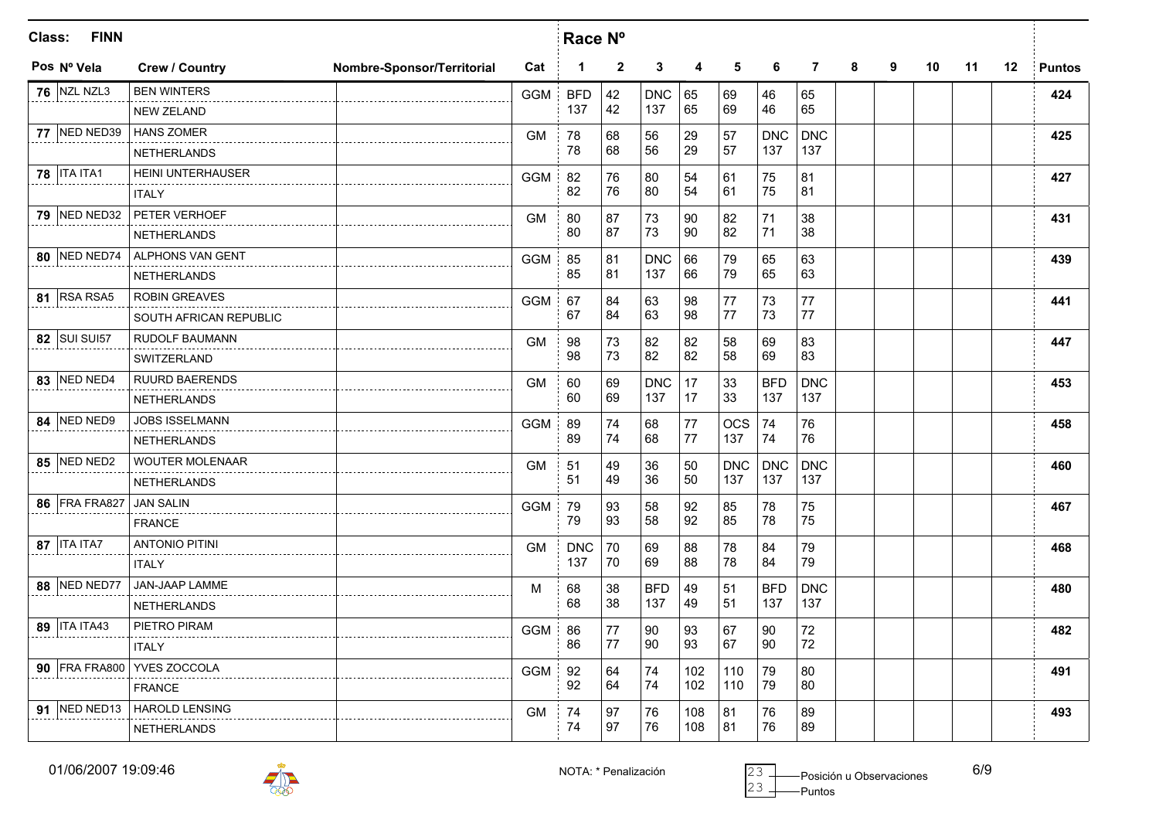| Class: | <b>FINN</b>          |                               |                            |            | Race N°              |              |            |     |            |            |                |   |   |    |    |         |               |
|--------|----------------------|-------------------------------|----------------------------|------------|----------------------|--------------|------------|-----|------------|------------|----------------|---|---|----|----|---------|---------------|
|        | Pos Nº Vela          | <b>Crew / Country</b>         | Nombre-Sponsor/Territorial | Cat        | $\blacktriangleleft$ | $\mathbf{2}$ | 3          | 4   | 5          | 6          | $\overline{7}$ | 8 | 9 | 10 | 11 | $12 \,$ | <b>Puntos</b> |
|        | <b>76 NZL NZL3</b>   | <b>BEN WINTERS</b>            |                            | <b>GGM</b> | <b>BFD</b>           | 42           | <b>DNC</b> | 65  | 69         | 46         | 65             |   |   |    |    |         | 424           |
|        |                      | <b>NEW ZELAND</b>             |                            |            | 137                  | 42           | 137        | 65  | 69         | 46         | 65             |   |   |    |    |         |               |
|        | 77 NED NED39         | <b>HANS ZOMER</b>             |                            | <b>GM</b>  | 78                   | 68           | 56         | 29  | 57         | <b>DNC</b> | <b>DNC</b>     |   |   |    |    |         | 425           |
|        |                      | <b>NETHERLANDS</b>            |                            |            | 78                   | 68           | 56         | 29  | 57         | 137        | 137            |   |   |    |    |         |               |
|        | <b>78   ITA ITA1</b> | HEINI UNTERHAUSER             |                            | <b>GGM</b> | 82                   | 76           | 80         | 54  | 61         | 75         | 81             |   |   |    |    |         | 427           |
|        |                      | <b>ITALY</b>                  |                            |            | 82                   | 76           | 80         | 54  | 61         | 75         | 81             |   |   |    |    |         |               |
|        | 79 NED NED32         | PETER VERHOEF                 |                            | GM         | 80                   | 87           | 73         | 90  | 82         | 71         | 38             |   |   |    |    |         | 431           |
|        |                      | <b>NETHERLANDS</b>            |                            |            | 80                   | 87           | 73         | 90  | 82         | 71         | 38             |   |   |    |    |         |               |
|        | <b>80 NED NED74</b>  | ALPHONS VAN GENT              |                            | <b>GGM</b> | 85                   | 81           | <b>DNC</b> | 66  | 79         | 65         | 63             |   |   |    |    |         | 439           |
|        |                      | <b>NETHERLANDS</b>            |                            |            | 85                   | 81           | 137        | 66  | 79         | 65         | 63             |   |   |    |    |         |               |
|        | 81 RSA RSA5          | <b>ROBIN GREAVES</b>          |                            | <b>GGM</b> | 67                   | 84           | 63         | 98  | 77         | 73         | 77             |   |   |    |    |         | 441           |
|        |                      | SOUTH AFRICAN REPUBLIC        |                            |            | 67                   | 84           | 63         | 98  | 77         | 73         | 77             |   |   |    |    |         |               |
|        | 82 SUI SUI57         | RUDOLF BAUMANN                |                            | <b>GM</b>  | 98                   | 73           | 82         | 82  | 58         | 69         | 83             |   |   |    |    |         | 447           |
|        |                      | <b>SWITZERLAND</b>            |                            |            | 98                   | 73           | 82         | 82  | 58         | 69         | 83             |   |   |    |    |         |               |
|        | 83 NED NED4          | <b>RUURD BAERENDS</b>         |                            | <b>GM</b>  | 60                   | 69           | <b>DNC</b> | 17  | 33         | <b>BFD</b> | <b>DNC</b>     |   |   |    |    |         | 453           |
|        |                      | <b>NETHERLANDS</b>            |                            |            | 60                   | 69           | 137        | 17  | 33         | 137        | 137            |   |   |    |    |         |               |
|        | 84 NED NED9          | JOBS ISSELMANN                |                            | <b>GGM</b> | 89                   | 74           | 68         | 77  | <b>OCS</b> | 74         | 76             |   |   |    |    |         | 458           |
|        |                      | <b>NETHERLANDS</b>            |                            |            | 89                   | 74           | 68         | 77  | 137        | 74         | 76             |   |   |    |    |         |               |
|        | 85 NED NED2          | WOUTER MOLENAAR               |                            | <b>GM</b>  | 51                   | 49           | 36         | 50  | <b>DNC</b> | <b>DNC</b> | <b>DNC</b>     |   |   |    |    |         | 460           |
|        |                      | <b>NETHERLANDS</b>            |                            |            | 51                   | 49           | 36         | 50  | 137        | 137        | 137            |   |   |    |    |         |               |
|        | 86 FRA FRA827        | <b>JAN SALIN</b>              |                            | <b>GGM</b> | 79                   | 93           | 58         | 92  | 85         | 78         | 75             |   |   |    |    |         | 467           |
|        |                      | <b>FRANCE</b>                 |                            |            | 79                   | 93           | 58         | 92  | 85         | 78         | 75             |   |   |    |    |         |               |
|        | 87   ITA ITA7        | <b>ANTONIO PITINI</b>         |                            | <b>GM</b>  | <b>DNC</b>           | 70           | 69         | 88  | 78         | 84         | 79             |   |   |    |    |         | 468           |
|        |                      | <b>ITALY</b>                  |                            |            | 137                  | 70           | 69         | 88  | 78         | 84         | 79             |   |   |    |    |         |               |
|        | 88 NED NED77         | JAN-JAAP LAMME                |                            | M          | 68                   | 38           | <b>BFD</b> | 49  | 51         | <b>BFD</b> | <b>DNC</b>     |   |   |    |    |         | 480           |
|        |                      | <b>NETHERLANDS</b>            |                            |            | 68                   | 38           | 137        | 49  | 51         | 137        | 137            |   |   |    |    |         |               |
|        | 89   ITA ITA43       | PIETRO PIRAM                  |                            | <b>GGM</b> | 86                   | 77           | 90         | 93  | 67         | 90         | 72             |   |   |    |    |         | 482           |
|        |                      | <b>ITALY</b>                  |                            |            | 86                   | 77           | 90         | 93  | 67         | 90         | 72             |   |   |    |    |         |               |
|        |                      | 90 FRA FRA800 YVES ZOCCOLA    |                            | <b>GGM</b> | 92                   | 64           | 74         | 102 | 110        | 79         | 80             |   |   |    |    |         | 491           |
|        |                      | <b>FRANCE</b>                 |                            |            | 92                   | 64           | 74         | 102 | 110        | 79         | 80             |   |   |    |    |         |               |
|        |                      | 91 NED NED13   HAROLD LENSING |                            | <b>GM</b>  | 74                   | 97           | 76         | 108 | 81         | 76         | 89             |   |   |    |    |         | 493           |
|        |                      | <b>NETHERLANDS</b>            |                            |            | 74                   | 97           | 76         | 108 | 81         | 76         | 89             |   |   |    |    |         |               |



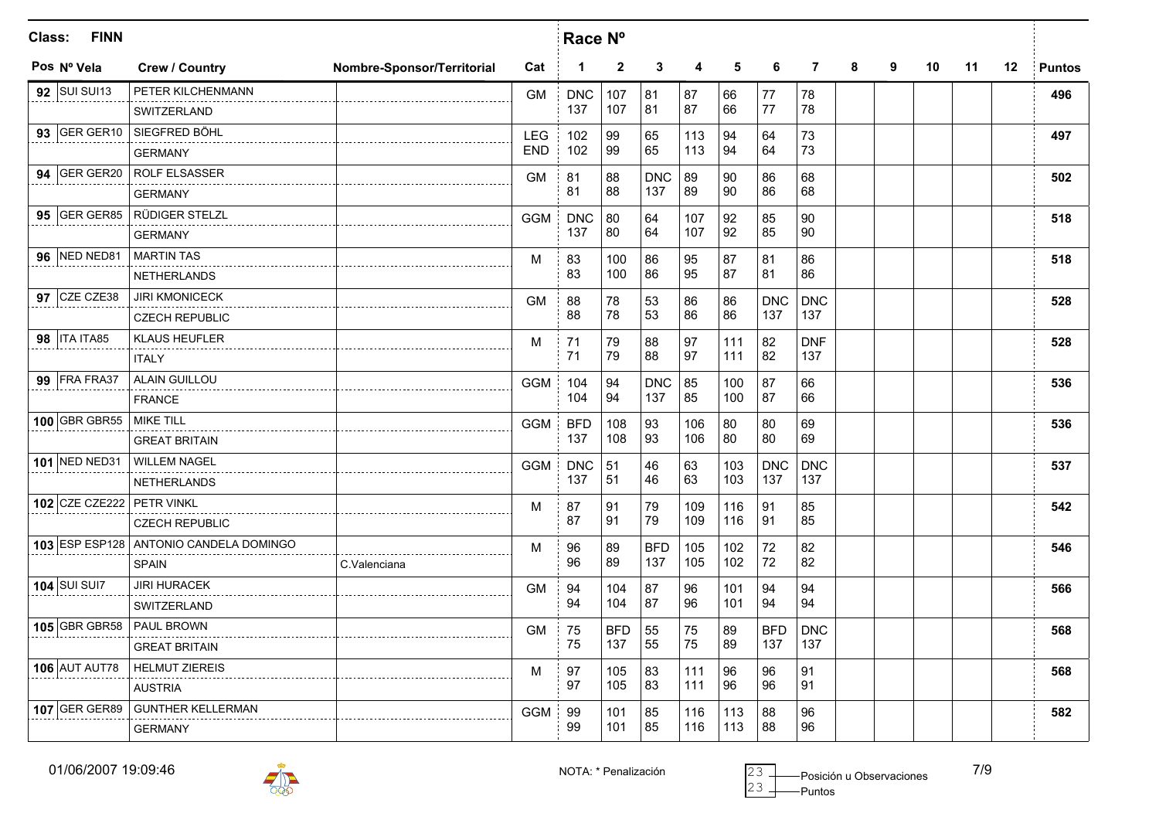| <b>FINN</b><br>Class:     |                                        |                            | Race Nº    |            |              |            |     |     |            |                |   |   |    |    |         |               |
|---------------------------|----------------------------------------|----------------------------|------------|------------|--------------|------------|-----|-----|------------|----------------|---|---|----|----|---------|---------------|
| Pos Nº Vela               | <b>Crew / Country</b>                  | Nombre-Sponsor/Territorial | Cat        | 1          | $\mathbf{2}$ | 3          | 4   | 5   | 6          | $\overline{7}$ | 8 | 9 | 10 | 11 | $12 \,$ | <b>Puntos</b> |
| 92 SUI SUI13              | PETER KILCHENMANN                      |                            | <b>GM</b>  | <b>DNC</b> | 107          | 81         | 87  | 66  | 77         | 78             |   |   |    |    |         | 496           |
|                           | SWITZERLAND                            |                            |            | 137        | 107          | 81         | 87  | 66  | 77         | 78             |   |   |    |    |         |               |
|                           | 93 GER GER10 SIEGFRED BÖHL             |                            | LEG        | 102        | 99           | 65         | 113 | 94  | 64         | 73             |   |   |    |    |         | 497           |
|                           | <b>GERMANY</b>                         |                            | <b>END</b> | 102        | 99           | 65         | 113 | 94  | 64         | 73             |   |   |    |    |         |               |
|                           | 94 GER GER20 ROLF ELSASSER             |                            | <b>GM</b>  | 81         | 88           | <b>DNC</b> | 89  | 90  | 86         | 68             |   |   |    |    |         | 502           |
|                           | <b>GERMANY</b>                         |                            |            | 81         | 88           | 137        | 89  | 90  | 86         | 68             |   |   |    |    |         |               |
|                           | 95 GER GER85 RÜDIGER STELZL            |                            | <b>GGM</b> | <b>DNC</b> | 80           | 64         | 107 | 92  | 85         | 90             |   |   |    |    |         | 518           |
|                           | <b>GERMANY</b>                         |                            |            | 137        | 80           | 64         | 107 | 92  | 85         | 90             |   |   |    |    |         |               |
| <b>96 NED NED81</b>       | <b>MARTIN TAS</b>                      |                            | M          | 83         | 100          | 86         | 95  | 87  | 81         | 86             |   |   |    |    |         | 518           |
|                           | NETHERLANDS                            |                            |            | 83         | 100          | 86         | 95  | 87  | 81         | 86             |   |   |    |    |         |               |
| 97 CZE CZE38              | <b>JIRI KMONICECK</b>                  |                            | <b>GM</b>  | 88         | 78           | 53         | 86  | 86  | <b>DNC</b> | <b>DNC</b>     |   |   |    |    |         | 528           |
|                           | <b>CZECH REPUBLIC</b>                  |                            |            | 88         | 78           | 53         | 86  | 86  | 137        | 137            |   |   |    |    |         |               |
| 98   ITA ITA85            | <b>KLAUS HEUFLER</b>                   |                            | M          | 71         | 79           | 88         | 97  | 111 | 82         | <b>DNF</b>     |   |   |    |    |         | 528           |
|                           | <b>ITALY</b>                           |                            |            | 71         | 79           | 88         | 97  | 111 | 82         | 137            |   |   |    |    |         |               |
| <b>99 FRA FRA37</b>       | <b>ALAIN GUILLOU</b>                   |                            | <b>GGM</b> | 104        | 94           | <b>DNC</b> | 85  | 100 | 87         | 66             |   |   |    |    |         | 536           |
|                           | <b>FRANCE</b>                          |                            |            | 104        | 94           | 137        | 85  | 100 | 87         | 66             |   |   |    |    |         |               |
| 100 GBR GBR55             | <b>MIKE TILL</b>                       |                            | <b>GGM</b> | <b>BFD</b> | 108          | 93         | 106 | 80  | 80         | 69             |   |   |    |    |         | 536           |
|                           | <b>GREAT BRITAIN</b>                   |                            |            | 137        | 108          | 93         | 106 | 80  | 80         | 69             |   |   |    |    |         |               |
|                           | 101 NED NED31 WILLEM NAGEL             |                            | <b>GGM</b> | <b>DNC</b> | 51           | 46         | 63  | 103 | <b>DNC</b> | <b>DNC</b>     |   |   |    |    |         | 537           |
|                           | <b>NETHERLANDS</b>                     |                            |            | 137        | 51           | 46         | 63  | 103 | 137        | 137            |   |   |    |    |         |               |
| 102 CZE CZE222 PETR VINKL |                                        |                            | M          | 87         | 91           | 79         | 109 | 116 | 91         | 85             |   |   |    |    |         | 542           |
|                           | <b>CZECH REPUBLIC</b>                  |                            |            | 87         | 91           | 79         | 109 | 116 | 91         | 85             |   |   |    |    |         |               |
|                           | 103 ESP ESP128 ANTONIO CANDELA DOMINGO |                            | M          | 96         | 89           | <b>BFD</b> | 105 | 102 | 72         | 82             |   |   |    |    |         | 546           |
|                           | <b>SPAIN</b>                           | C.Valenciana               |            | 96         | 89           | 137        | 105 | 102 | 72         | 82             |   |   |    |    |         |               |
| 104 $\vert$ SUI SUI7      | <b>JIRI HURACEK</b>                    |                            | GM         | 94         | 104          | 87         | 96  | 101 | 94         | 94             |   |   |    |    |         | 566           |
|                           | SWITZERLAND                            |                            |            | 94         | 104          | 87         | 96  | 101 | 94         | 94             |   |   |    |    |         |               |
| 105 GBR GBR58 PAUL BROWN  |                                        |                            | <b>GM</b>  | 75         | <b>BFD</b>   | 55         | 75  | 89  | <b>BFD</b> | <b>DNC</b>     |   |   |    |    |         | 568           |
|                           | <b>GREAT BRITAIN</b>                   |                            |            | 75         | 137          | 55         | 75  | 89  | 137        | 137            |   |   |    |    |         |               |
| <b>106 AUT AUT78</b>      | <b>HELMUT ZIEREIS</b>                  |                            | M          | 97         | 105          | 83         | 111 | 96  | 96         | 91             |   |   |    |    |         | 568           |
|                           | <b>AUSTRIA</b>                         |                            |            | 97         | 105          | 83         | 111 | 96  | 96         | 91             |   |   |    |    |         |               |
| $107$ GER GER89           | <b>GUNTHER KELLERMAN</b>               |                            | <b>GGM</b> | 99         | 101          | 85         | 116 | 113 | 88         | 96             |   |   |    |    |         | 582           |
|                           | <b>GERMANY</b>                         |                            |            | 99         | 101          | 85         | 116 | 113 | 88         | 96             |   |   |    |    |         |               |

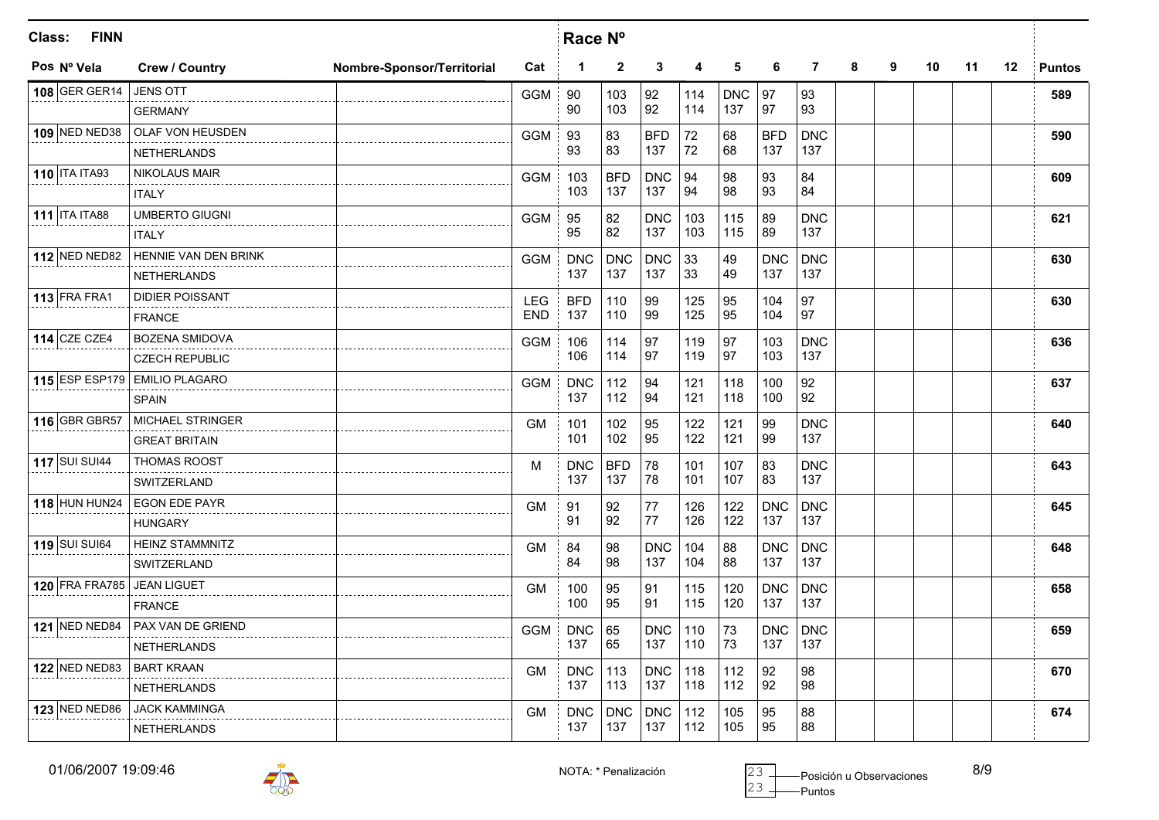| <b>FINN</b><br>Class:         |              |                        |                            |            | Race Nº    |              |            |     |            |            |                |   |   |    |    |    |               |
|-------------------------------|--------------|------------------------|----------------------------|------------|------------|--------------|------------|-----|------------|------------|----------------|---|---|----|----|----|---------------|
| Pos Nº Vela                   |              | <b>Crew / Country</b>  | Nombre-Sponsor/Territorial | Cat        | 1          | $\mathbf{2}$ | 3          | 4   | 5          | 6          | $\overline{7}$ | 8 | 9 | 10 | 11 | 12 | <b>Puntos</b> |
| 108 GER GER14                 |              | <b>JENS OTT</b>        |                            | <b>GGM</b> | 90         | 103          | 92         | 114 | <b>DNC</b> | 97         | 93             |   |   |    |    |    | 589           |
|                               |              | <b>GERMANY</b>         |                            |            | 90         | 103          | 92         | 114 | 137        | 97         | 93             |   |   |    |    |    |               |
| 109 NED NED38                 |              | OLAF VON HEUSDEN       |                            | <b>GGM</b> | 93         | 83           | <b>BFD</b> | 72  | 68         | <b>BFD</b> | <b>DNC</b>     |   |   |    |    |    | 590           |
|                               |              | <b>NETHERLANDS</b>     |                            |            | 93         | 83           | 137        | 72  | 68         | 137        | 137            |   |   |    |    |    |               |
| 110 ITA ITA93                 |              | <b>NIKOLAUS MAIR</b>   |                            | <b>GGM</b> | 103        | <b>BFD</b>   | <b>DNC</b> | 94  | 98         | 93         | 84             |   |   |    |    |    | 609           |
|                               | <b>ITALY</b> |                        |                            |            | 103        | 137          | 137        | 94  | 98         | 93         | 84             |   |   |    |    |    |               |
| 111 ITA ITA88                 |              | <b>UMBERTO GIUGNI</b>  |                            | <b>GGM</b> | 95         | 82           | <b>DNC</b> | 103 | 115        | 89         | <b>DNC</b>     |   |   |    |    |    | 621           |
|                               |              | <b>ITALY</b>           |                            |            | 95         | 82           | 137        | 103 | 115        | 89         | 137            |   |   |    |    |    |               |
| <b>112 NED NED82</b>          |              | HENNIE VAN DEN BRINK   |                            | <b>GGM</b> | <b>DNC</b> | <b>DNC</b>   | <b>DNC</b> | 33  | 49         | <b>DNC</b> | <b>DNC</b>     |   |   |    |    |    | 630           |
|                               |              | <b>NETHERLANDS</b>     |                            |            | 137        | 137          | 137        | 33  | 49         | 137        | 137            |   |   |    |    |    |               |
| $113$ FRA FRA1                |              | <b>DIDIER POISSANT</b> |                            | <b>LEG</b> | <b>BFD</b> | 110          | 99         | 125 | 95         | 104        | 97             |   |   |    |    |    | 630           |
|                               |              | <b>FRANCE</b>          |                            | <b>END</b> | 137        | 110          | 99         | 125 | 95         | 104        | 97             |   |   |    |    |    |               |
| 114 CZE CZE4                  |              | BOZENA SMIDOVA         |                            | <b>GGM</b> | 106        | 114          | 97         | 119 | 97         | 103        | <b>DNC</b>     |   |   |    |    |    | 636           |
|                               |              | <b>CZECH REPUBLIC</b>  |                            |            | 106        | 114          | 97         | 119 | 97         | 103        | 137            |   |   |    |    |    |               |
| 115 ESP ESP179 EMILIO PLAGARO |              |                        |                            | <b>GGM</b> | <b>DNC</b> | 112          | 94         | 121 | 118        | 100        | 92             |   |   |    |    |    | 637           |
|                               |              | <b>SPAIN</b>           |                            |            | 137        | 112          | 94         | 121 | 118        | 100        | 92             |   |   |    |    |    |               |
| 116 GBR GBR57                 |              | MICHAEL STRINGER       |                            | <b>GM</b>  | 101        | 102          | 95         | 122 | 121        | 99         | <b>DNC</b>     |   |   |    |    |    | 640           |
|                               |              | <b>GREAT BRITAIN</b>   |                            |            | 101        | 102          | 95         | 122 | 121        | 99         | 137            |   |   |    |    |    |               |
| <b>117 SUI SUI44</b>          |              | THOMAS ROOST           |                            | M          | <b>DNC</b> | <b>BFD</b>   | 78         | 101 | 107        | 83         | <b>DNC</b>     |   |   |    |    |    | 643           |
|                               |              | SWITZERLAND            |                            |            | 137        | 137          | 78         | 101 | 107        | 83         | 137            |   |   |    |    |    |               |
| <b>118 HUN HUN24</b>          |              | <b>EGON EDE PAYR</b>   |                            | <b>GM</b>  | 91         | 92           | 77         | 126 | 122        | <b>DNC</b> | <b>DNC</b>     |   |   |    |    |    | 645           |
|                               |              | <b>HUNGARY</b>         |                            |            | 91         | 92           | 77         | 126 | 122        | 137        | 137            |   |   |    |    |    |               |
| 119 SUI SUI64                 |              | <b>HEINZ STAMMNITZ</b> |                            | <b>GM</b>  | 84         | 98           | <b>DNC</b> | 104 | 88         | <b>DNC</b> | <b>DNC</b>     |   |   |    |    |    | 648           |
|                               |              | SWITZERLAND            |                            |            | 84         | 98           | 137        | 104 | 88         | 137        | 137            |   |   |    |    |    |               |
| 120 FRA FRA785 JEAN LIGUET    |              |                        |                            | <b>GM</b>  | 100        | 95           | 91         | 115 | 120        | <b>DNC</b> | <b>DNC</b>     |   |   |    |    |    | 658           |
|                               |              | <b>FRANCE</b>          |                            |            | 100        | 95           | 91         | 115 | 120        | 137        | 137            |   |   |    |    |    |               |
| <b>121 NED NED84</b>          |              | PAX VAN DE GRIEND      |                            | <b>GGM</b> | <b>DNC</b> | 65           | <b>DNC</b> | 110 | 73         | <b>DNC</b> | <b>DNC</b>     |   |   |    |    |    | 659           |
|                               |              | <b>NETHERLANDS</b>     |                            |            | 137        | 65           | 137        | 110 | 73         | 137        | 137            |   |   |    |    |    |               |
| <b>122 NED NED83</b>          |              | <b>BART KRAAN</b>      |                            | <b>GM</b>  | <b>DNC</b> | 113          | <b>DNC</b> | 118 | 112        | 92         | 98             |   |   |    |    |    | 670           |
|                               |              | <b>NETHERLANDS</b>     |                            |            | 137        | 113          | 137        | 118 | 112        | 92         | 98             |   |   |    |    |    |               |
| <b>123 NED NED86</b>          |              | <b>JACK KAMMINGA</b>   |                            | <b>GM</b>  | <b>DNC</b> | <b>DNC</b>   | <b>DNC</b> | 112 | 105        | 95         | 88             |   |   |    |    |    | 674           |
|                               |              | <b>NETHERLANDS</b>     |                            |            | 137        | 137          | 137        | 112 | 105        | 95         | 88             |   |   |    |    |    |               |